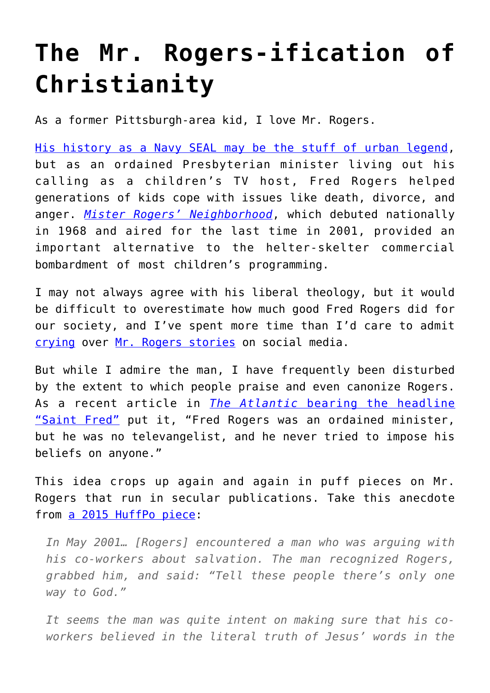## **[The Mr. Rogers-ification of](https://intellectualtakeout.org/2018/04/the-mr-rogers-ification-of-christianity/) [Christianity](https://intellectualtakeout.org/2018/04/the-mr-rogers-ification-of-christianity/)**

As a former Pittsburgh-area kid, I love Mr. Rogers.

[His history as a Navy SEAL may be the stuff of urban legend,](https://navyseals.com/ns-overview/notable-seals/mr-rogers-navy-seal/) but as an ordained Presbyterian minister living out his calling as a children's TV host, Fred Rogers helped generations of kids cope with issues like death, divorce, and anger. *[Mister Rogers' Neighborhood](https://en.wikipedia.org/wiki/Mister_Rogers%27_Neighborhood)*, which debuted nationally in 1968 and aired for the last time in 2001, provided an important alternative to the helter-skelter commercial bombardment of most children's programming.

I may not always agree with his liberal theology, but it would be difficult to overestimate how much good Fred Rogers did for our society, and I've spent more time than I'd care to admit [crying](https://www.usatoday.com/story/news/nation-now/2017/05/23/mr-rogers-story-probably-make-you-cry/340111001/) over [Mr. Rogers stories](https://www.today.com/parents/6-touching-stories-about-mister-rogers-impact-fans-t124045) on social media.

But while I admire the man, I have frequently been disturbed by the extent to which people praise and even canonize Rogers. As a recent article in *[The Atlantic](https://www.theatlantic.com/politics/archive/2015/11/mister-rogers-saint/416838/)* [bearing the headline](https://www.theatlantic.com/politics/archive/2015/11/mister-rogers-saint/416838/) ["Saint Fred"](https://www.theatlantic.com/politics/archive/2015/11/mister-rogers-saint/416838/) put it, "Fred Rogers was an ordained minister, but he was no televangelist, and he never tried to impose his beliefs on anyone."

This idea crops up again and again in puff pieces on Mr. Rogers that run in secular publications. Take this anecdote from [a 2015 HuffPo piece:](https://www.huffingtonpost.com/michael-g-long/is-mister-rogers-in-heaven_b_6880448.html)

*In May 2001… [Rogers] encountered a man who was arguing with his co-workers about salvation. The man recognized Rogers, grabbed him, and said: "Tell these people there's only one way to God."*

*It seems the man was quite intent on making sure that his coworkers believed in the literal truth of Jesus' words in the*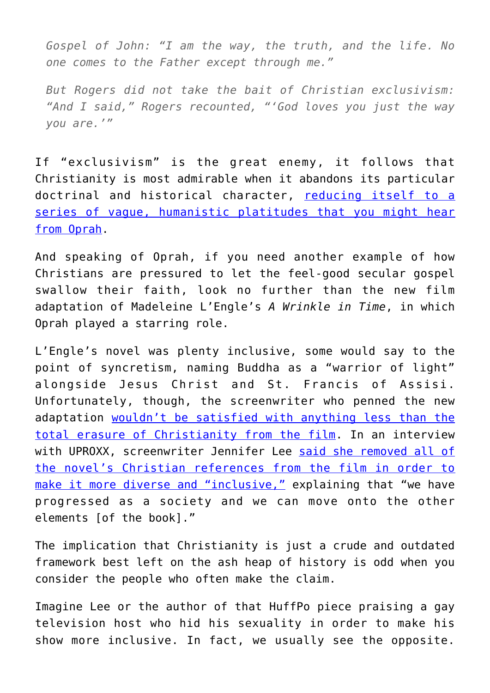*Gospel of John: "I am the way, the truth, and the life. No one comes to the Father except through me."*

*But Rogers did not take the bait of Christian exclusivism: "And I said," Rogers recounted, "'God loves you just the way you are.'"*

If "exclusivism" is the great enemy, it follows that Christianity is most admirable when it abandons its particular doctrinal and historical character, [reducing itself to a](http://www.theamericanconservative.com/articles/the-self-acceptance-cult-claims-a-wrinkle-in-time/) [series of vague, humanistic platitudes that you might hear](http://www.theamericanconservative.com/articles/the-self-acceptance-cult-claims-a-wrinkle-in-time/) [from Oprah.](http://www.theamericanconservative.com/articles/the-self-acceptance-cult-claims-a-wrinkle-in-time/)

And speaking of Oprah, if you need another example of how Christians are pressured to let the feel-good secular gospel swallow their faith, look no further than the new film adaptation of Madeleine L'Engle's *A Wrinkle in Time*, in which Oprah played a starring role.

L'Engle's novel was plenty inclusive, some would say to the point of syncretism, naming Buddha as a "warrior of light" alongside Jesus Christ and St. Francis of Assisi. Unfortunately, though, the screenwriter who penned the new adaptation [wouldn't be satisfied with anything less than the](http://www.theamericanconservative.com/articles/when-christianity-wrinkle-in-time-oprah/) [total erasure of Christianity from the film](http://www.theamericanconservative.com/articles/when-christianity-wrinkle-in-time-oprah/). In an interview with UPROXX, screenwriter Jennifer Lee [said she removed all of](https://www.christianpost.com/news/disneys-a-wrinkle-in-time-writer-defends-removing-bible-verses-christian-themes-in-movie-220899/) [the novel's Christian references from the film in order to](https://www.christianpost.com/news/disneys-a-wrinkle-in-time-writer-defends-removing-bible-verses-christian-themes-in-movie-220899/) [make it more diverse and "inclusive,"](https://www.christianpost.com/news/disneys-a-wrinkle-in-time-writer-defends-removing-bible-verses-christian-themes-in-movie-220899/) explaining that "we have progressed as a society and we can move onto the other elements [of the book]."

The implication that Christianity is just a crude and outdated framework best left on the ash heap of history is odd when you consider the people who often make the claim.

Imagine Lee or the author of that HuffPo piece praising a gay television host who hid his sexuality in order to make his show more inclusive. In fact, we usually see the opposite.